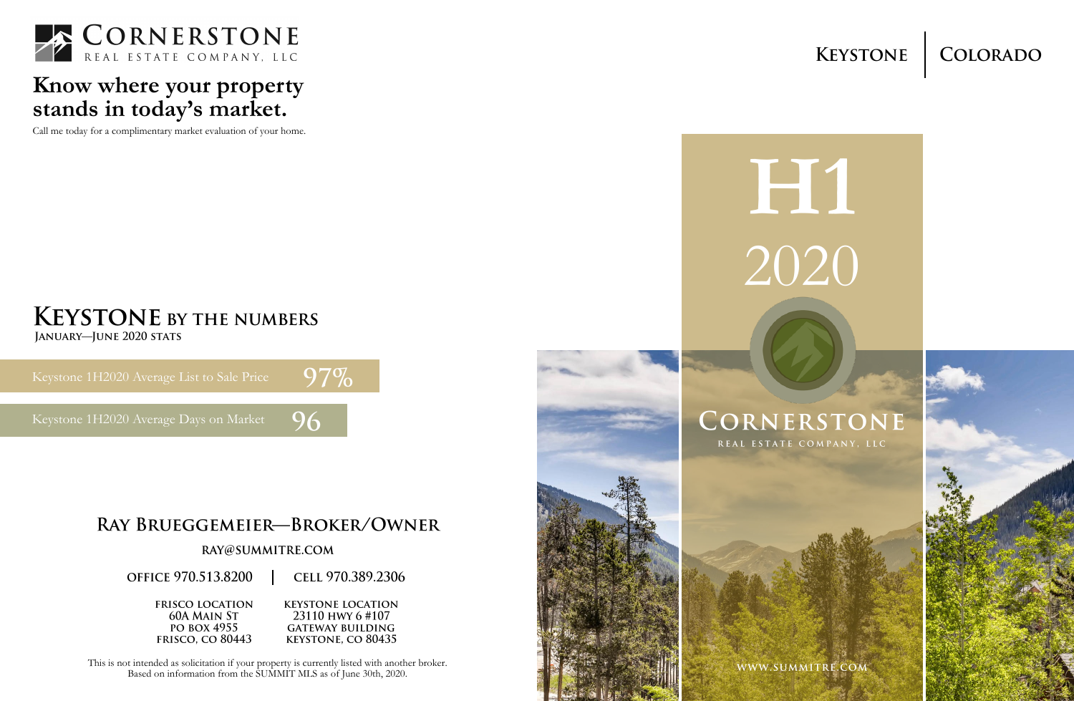# **H1** 2020

# CORNERSTONE

REAL ESTATE COMPANY, LLC

WWW.SUMMITRE.COM





### **Know where your property stands in today's market.**

Call me today for a complimentary market evaluation of your home.

# **KEYSTONE BY THE NUMBERS**

JANUARY-JUNE 2020 STATS

## $97%$

96

Keystone 1H2020 Average Days on Market

#### RAY BRUEGGEMEIER-BROKER/OWNER

#### RAY@SUMMITRE.COM

**OFFICE 970.513.8200** 

CELL 970.389.2306

**FRISCO LOCATION 60A MAIN ST** PO BOX 4955 **FRISCO.** CO 80443

**KEYSTONE LOCATION** 23110 HWY 6 #107 **GATEWAY BUILDING KEYSTONE, CO 80435** 

This is not intended as solicitation if your property is currently listed with another broker. Based on information from the SUMMIT MLS as of June 30th, 2020.





#### COLORADO